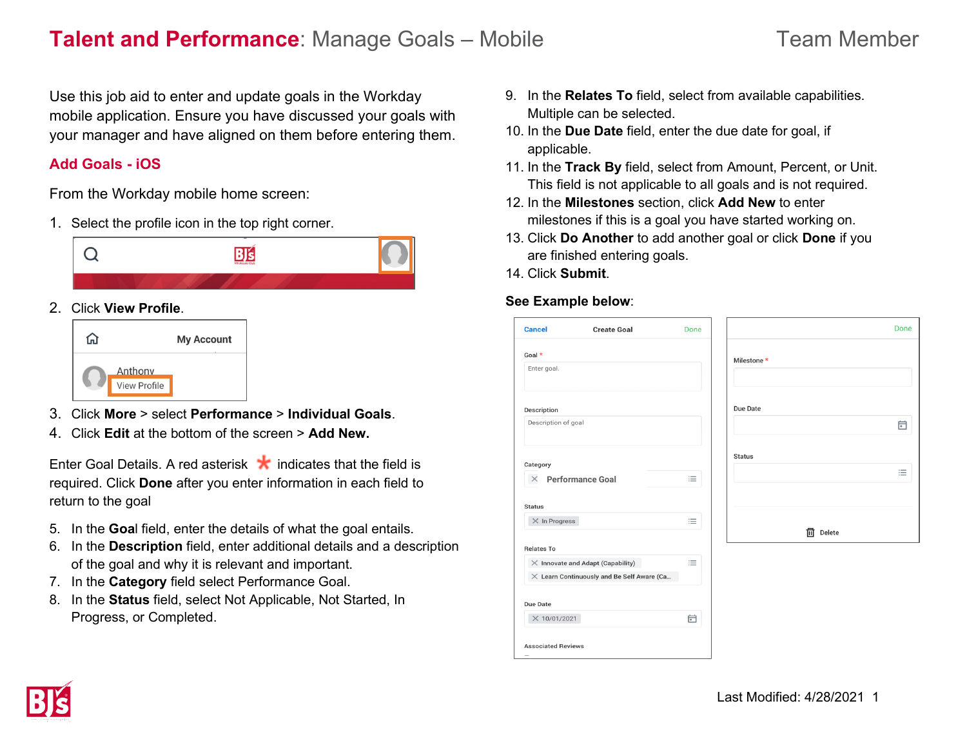# **Talent and Performance**: Manage Goals – Mobile Team Member

Use this job aid to enter and update goals in the Workday mobile application. Ensure you have discussed your goals with your manager and have aligned on them before entering them.

# **Add Goals - iOS**

From the Workday mobile home screen:

1. Select the profile icon in the top right corner.



## 2. Click **View Profile**.



- 3. Click **More** > select **Performance** > **Individual Goals**.
- 4. Click **Edit** at the bottom of the screen > **Add New.**

Enter Goal Details. A red asterisk  $\star$  indicates that the field is required. Click **Done** after you enter information in each field to return to the goal

- 5. In the **Goa**l field, enter the details of what the goal entails.
- 6. In the **Description** field, enter additional details and a description of the goal and why it is relevant and important.
- 7. In the **Category** field select Performance Goal.
- 8. In the **Status** field, select Not Applicable, Not Started, In Progress, or Completed.
- 9. In the **Relates To** field, select from available capabilities. Multiple can be selected.
- 10. In the **Due Date** field, enter the due date for goal, if applicable.
- 11. In the **Track By** field, select from Amount, Percent, or Unit. This field is not applicable to all goals and is not required.
- 12. In the **Milestones** section, click **Add New** to enter milestones if this is a goal you have started working on.
- 13. Click **Do Another** to add another goal or click **Done** if you are finished entering goals.
- 14. Click **Submit**.

### **See Example below**:

| <b>Cancel</b>             | <b>Create Goal</b>                                | Done |               |
|---------------------------|---------------------------------------------------|------|---------------|
| Goal *                    |                                                   |      | Milestone *   |
| Enter goal.               |                                                   |      |               |
|                           |                                                   |      |               |
| Description               |                                                   |      | Due Date      |
| Description of goal       |                                                   |      |               |
|                           |                                                   |      | <b>Status</b> |
| Category                  |                                                   |      |               |
| $\times$                  | <b>Performance Goal</b>                           | 洼    |               |
|                           |                                                   |      |               |
| <b>Status</b>             |                                                   |      |               |
| $\times$ In Progress      |                                                   | 洼    |               |
|                           |                                                   |      | 侕<br>Delete   |
| <b>Relates To</b>         |                                                   |      |               |
|                           | $\times$ Innovate and Adapt (Capability)          | 洼    |               |
|                           | $\times$ Learn Continuously and Be Self Aware (Ca |      |               |
|                           |                                                   |      |               |
| Due Date                  |                                                   |      |               |
| X 10/01/2021              |                                                   | 曲    |               |
|                           |                                                   |      |               |
| <b>Associated Reviews</b> |                                                   |      |               |
|                           |                                                   |      |               |